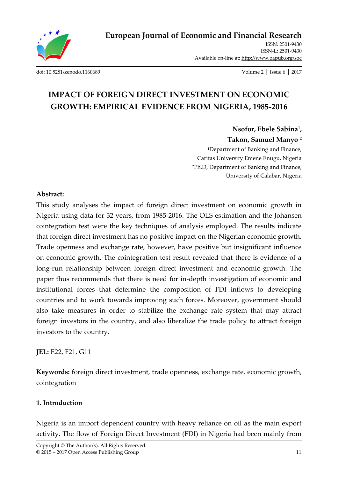

ISSN: 2501-9430 ISSN-L: 2501-9430 Available on-line at**:** http://www.oapub.org/soc

[doi: 10.5281/zenodo.1160689](http://dx.doi.org/10.5281/zenodo.1160689) Volume 2 │ Issue 6 │ 2017

# **IMPACT OF FOREIGN DIRECT INVESTMENT ON ECONOMIC GROWTH: EMPIRICAL EVIDENCE FROM NIGERIA, 1985-2016**

**Nsofor, Ebele Sabina<sup>1</sup> , Takon, Samuel Manyo <sup>2</sup>** <sup>1</sup>Department of Banking and Finance, Caritas University Emene Enugu, Nigeria <sup>2</sup>Ph.D, Department of Banking and Finance, University of Calabar, Nigeria

# **Abstract:**

This study analyses the impact of foreign direct investment on economic growth in Nigeria using data for 32 years, from 1985-2016. The OLS estimation and the Johansen cointegration test were the key techniques of analysis employed. The results indicate that foreign direct investment has no positive impact on the Nigerian economic growth. Trade openness and exchange rate, however, have positive but insignificant influence on economic growth. The cointegration test result revealed that there is evidence of a long-run relationship between foreign direct investment and economic growth. The paper thus recommends that there is need for in-depth investigation of economic and institutional forces that determine the composition of FDI inflows to developing countries and to work towards improving such forces. Moreover, government should also take measures in order to stabilize the exchange rate system that may attract foreign investors in the country, and also liberalize the trade policy to attract foreign investors to the country.

**JEL:** E22, F21, G11

**Keywords:** foreign direct investment, trade openness, exchange rate, economic growth, cointegration

# **1. Introduction**

Nigeria is an import dependent country with heavy reliance on oil as the main export activity. The flow of Foreign Direct Investment (FDI) in Nigeria had been mainly from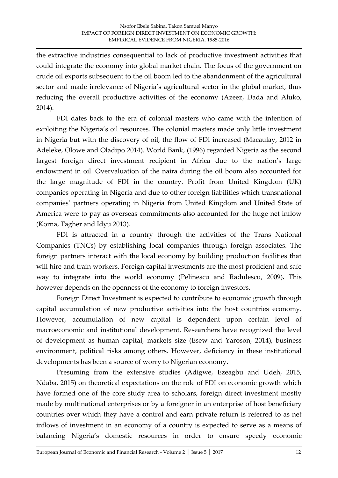the extractive industries consequential to lack of productive investment activities that could integrate the economy into global market chain. The focus of the government on crude oil exports subsequent to the oil boom led to the abandonment of the agricultural sector and made irrelevance of Nigeria's agricultural sector in the global market, thus reducing the overall productive activities of the economy (Azeez, Dada and Aluko, 2014).

FDI dates back to the era of colonial masters who came with the intention of exploiting the Nigeria's oil resources. The colonial masters made only little investment in Nigeria but with the discovery of oil, the flow of FDI increased (Macaulay, 2012 in Adeleke, Olowe and Oladipo 2014). World Bank, (1996) regarded Nigeria as the second largest foreign direct investment recipient in Africa due to the nation's large endowment in oil. Overvaluation of the naira during the oil boom also accounted for the large magnitude of FDI in the country. Profit from United Kingdom (UK) companies operating in Nigeria and due to other foreign liabilities which transnational companies' partners operating in Nigeria from United Kingdom and United State of America were to pay as overseas commitments also accounted for the huge net inflow (Korna, Tagher and Idyu 2013).

FDI is attracted in a country through the activities of the Trans National Companies (TNCs) by establishing local companies through foreign associates. The foreign partners interact with the local economy by building production facilities that will hire and train workers. Foreign capital investments are the most proficient and safe way to integrate into the world economy (Pelinescu and Radulescu, 2009)**.** This however depends on the openness of the economy to foreign investors.

Foreign Direct Investment is expected to contribute to economic growth through capital accumulation of new productive activities into the host countries economy. However, accumulation of new capital is dependent upon certain level of macroeconomic and institutional development. Researchers have recognized the level of development as human capital, markets size (Esew and Yaroson, 2014), business environment, political risks among others. However, deficiency in these institutional developments has been a source of worry to Nigerian economy.

Presuming from the extensive studies (Adigwe, Ezeagbu and Udeh, 2015, Ndaba, 2015) on theoretical expectations on the role of FDI on economic growth which have formed one of the core study area to scholars, foreign direct investment mostly made by multinational enterprises or by a foreigner in an enterprise of host beneficiary countries over which they have a control and earn private return is referred to as net inflows of investment in an economy of a country is expected to serve as a means of balancing Nigeria's domestic resources in order to ensure speedy economic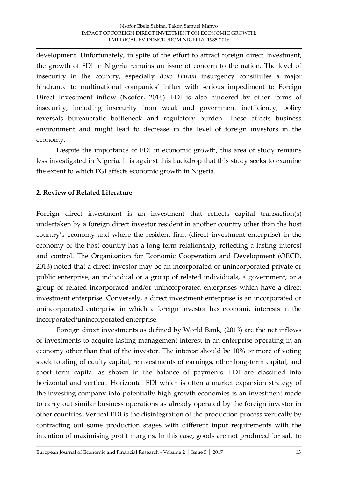development. Unfortunately, in spite of the effort to attract foreign direct Investment, the growth of FDI in Nigeria remains an issue of concern to the nation. The level of insecurity in the country, especially *Boko Haram* insurgency constitutes a major hindrance to multinational companies' influx with serious impediment to Foreign Direct Investment inflow (Nsofor, 2016). FDI is also hindered by other forms of insecurity, including insecurity from weak and government inefficiency, policy reversals bureaucratic bottleneck and regulatory burden. These affects business environment and might lead to decrease in the level of foreign investors in the economy.

Despite the importance of FDI in economic growth, this area of study remains less investigated in Nigeria. It is against this backdrop that this study seeks to examine the extent to which FGI affects economic growth in Nigeria.

# **2. Review of Related Literature**

Foreign direct investment is an investment that reflects capital transaction(s) undertaken by a foreign direct investor resident in another country other than the host country's economy and where the resident firm (direct investment enterprise) in the economy of the host country has a long-term relationship, reflecting a lasting interest and control. The Organization for Economic Cooperation and Development (OECD, 2013) noted that a direct investor may be an incorporated or unincorporated private or public enterprise, an individual or a group of related individuals, a government, or a group of related incorporated and/or unincorporated enterprises which have a direct investment enterprise. Conversely, a direct investment enterprise is an incorporated or unincorporated enterprise in which a foreign investor has economic interests in the incorporated/unincorporated enterprise.

Foreign direct investments as defined by World Bank, (2013) are the net inflows of investments to acquire lasting management interest in an enterprise operating in an economy other than that of the investor. The interest should be 10% or more of voting stock totaling of equity capital, reinvestments of earnings, other long-term capital, and short term capital as shown in the balance of payments. FDI are classified into horizontal and vertical. Horizontal FDI which is often a market expansion strategy of the investing company into potentially high growth economies is an investment made to carry out similar business operations as already operated by the foreign investor in other countries. Vertical FDI is the disintegration of the production process vertically by contracting out some production stages with different input requirements with the intention of maximising profit margins. In this case, goods are not produced for sale to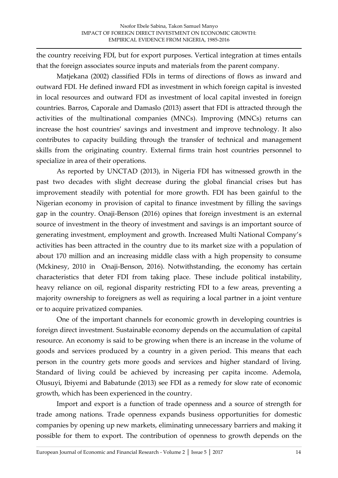the country receiving FDI, but for export purposes. Vertical integration at times entails that the foreign associates source inputs and materials from the parent company.

Matjekana (2002) classified FDIs in terms of directions of flows as inward and outward FDI. He defined inward FDI as investment in which foreign capital is invested in local resources and outward FDI as investment of local capital invested in foreign countries. Barros, Caporale and Damaslo (2013) assert that FDI is attracted through the activities of the multinational companies (MNCs). Improving (MNCs) returns can increase the host countries' savings and investment and improve technology. It also contributes to capacity building through the transfer of technical and management skills from the originating country. External firms train host countries personnel to specialize in area of their operations.

As reported by UNCTAD (2013), in Nigeria FDI has witnessed growth in the past two decades with slight decrease during the global financial crises but has improvement steadily with potential for more growth. FDI has been gainful to the Nigerian economy in provision of capital to finance investment by filling the savings gap in the country. Onaji-Benson (2016) opines that foreign investment is an external source of investment in the theory of investment and savings is an important source of generating investment, employment and growth. Increased Multi National Company's activities has been attracted in the country due to its market size with a population of about 170 million and an increasing middle class with a high propensity to consume (Mckinesy, 2010 in Onaji-Benson, 2016). Notwithstanding, the economy has certain characteristics that deter FDI from taking place. These include political instability, heavy reliance on oil, regional disparity restricting FDI to a few areas, preventing a majority ownership to foreigners as well as requiring a local partner in a joint venture or to acquire privatized companies.

One of the important channels for economic growth in developing countries is foreign direct investment. Sustainable economy depends on the accumulation of capital resource. An economy is said to be growing when there is an increase in the volume of goods and services produced by a country in a given period. This means that each person in the country gets more goods and services and higher standard of living. Standard of living could be achieved by increasing per capita income. Ademola, Olusuyi, Ibiyemi and Babatunde (2013) see FDI as a remedy for slow rate of economic growth, which has been experienced in the country.

Import and export is a function of trade openness and a source of strength for trade among nations. Trade openness expands business opportunities for domestic companies by opening up new markets, eliminating unnecessary barriers and making it possible for them to export. The contribution of openness to growth depends on the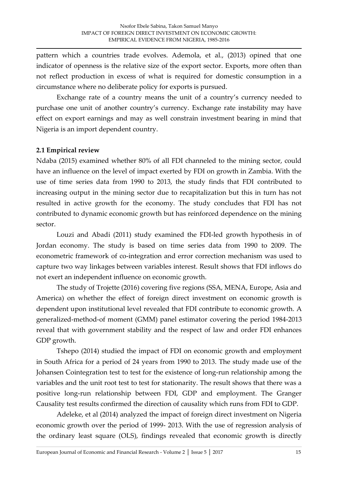pattern which a countries trade evolves. Ademola, et al., (2013) opined that one indicator of openness is the relative size of the export sector. Exports, more often than not reflect production in excess of what is required for domestic consumption in a circumstance where no deliberate policy for exports is pursued.

Exchange rate of a country means the unit of a country's currency needed to purchase one unit of another country's currency. Exchange rate instability may have effect on export earnings and may as well constrain investment bearing in mind that Nigeria is an import dependent country.

### **2.1 Empirical review**

Ndaba (2015) examined whether 80% of all FDI channeled to the mining sector, could have an influence on the level of impact exerted by FDI on growth in Zambia. With the use of time series data from 1990 to 2013, the study finds that FDI contributed to increasing output in the mining sector due to recapitalization but this in turn has not resulted in active growth for the economy. The study concludes that FDI has not contributed to dynamic economic growth but has reinforced dependence on the mining sector.

Louzi and Abadi (2011) study examined the FDI-led growth hypothesis in of Jordan economy. The study is based on time series data from 1990 to 2009. The econometric framework of co-integration and error correction mechanism was used to capture two way linkages between variables interest. Result shows that FDI inflows do not exert an independent influence on economic growth.

The study of Trojette (2016) covering five regions (SSA, MENA, Europe, Asia and America) on whether the effect of foreign direct investment on economic growth is dependent upon institutional level revealed that FDI contribute to economic growth. A generalized-method-of moment (GMM) panel estimator covering the period 1984-2013 reveal that with government stability and the respect of law and order FDI enhances GDP growth.

Tshepo (2014) studied the impact of FDI on economic growth and employment in South Africa for a period of 24 years from 1990 to 2013. The study made use of the Johansen Cointegration test to test for the existence of long-run relationship among the variables and the unit root test to test for stationarity. The result shows that there was a positive long-run relationship between FDI, GDP and employment. The Granger Causality test results confirmed the direction of causality which runs from FDI to GDP.

Adeleke, et al (2014) analyzed the impact of foreign direct investment on Nigeria economic growth over the period of 1999- 2013. With the use of regression analysis of the ordinary least square (OLS), findings revealed that economic growth is directly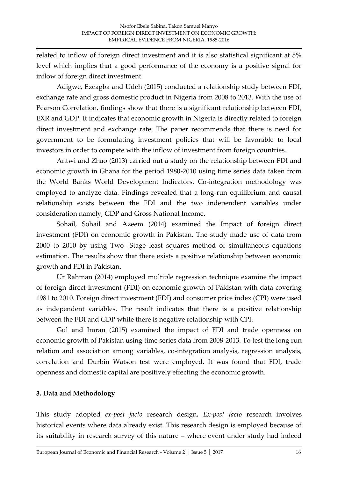related to inflow of foreign direct investment and it is also statistical significant at 5% level which implies that a good performance of the economy is a positive signal for inflow of foreign direct investment.

Adigwe, Ezeagba and Udeh (2015) conducted a relationship study between FDI, exchange rate and gross domestic product in Nigeria from 2008 to 2013. With the use of Pearson Correlation, findings show that there is a significant relationship between FDI, EXR and GDP. It indicates that economic growth in Nigeria is directly related to foreign direct investment and exchange rate. The paper recommends that there is need for government to be formulating investment policies that will be favorable to local investors in order to compete with the inflow of investment from foreign countries.

Antwi and Zhao (2013) carried out a study on the relationship between FDI and economic growth in Ghana for the period 1980-2010 using time series data taken from the World Banks World Development Indicators. Co-integration methodology was employed to analyze data. Findings revealed that a long-run equilibrium and causal relationship exists between the FDI and the two independent variables under consideration namely, GDP and Gross National Income.

Sohail, Sohail and Azeem (2014) examined the Impact of foreign direct investment (FDI) on economic growth in Pakistan. The study made use of data from 2000 to 2010 by using Two- Stage least squares method of simultaneous equations estimation. The results show that there exists a positive relationship between economic growth and FDI in Pakistan.

Ur Rahman (2014) employed multiple regression technique examine the impact of foreign direct investment (FDI) on economic growth of Pakistan with data covering 1981 to 2010. Foreign direct investment (FDI) and consumer price index (CPI) were used as independent variables. The result indicates that there is a positive relationship between the FDI and GDP while there is negative relationship with CPI.

Gul and Imran (2015) examined the impact of FDI and trade openness on economic growth of Pakistan using time series data from 2008-2013. To test the long run relation and association among variables, co-integration analysis, regression analysis, correlation and Durbin Watson test were employed. It was found that FDI, trade openness and domestic capital are positively effecting the economic growth.

# **3. Data and Methodology**

This study adopted *ex-post facto* research design**.** *Ex-post facto* research involves historical events where data already exist. This research design is employed because of its suitability in research survey of this nature – where event under study had indeed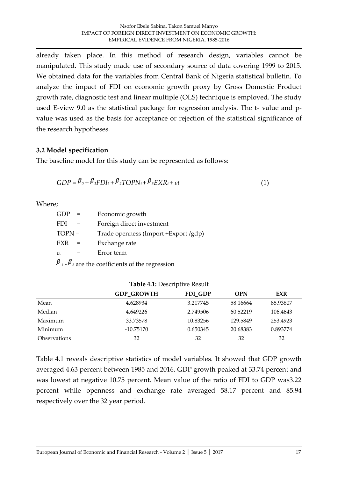already taken place. In this method of research design, variables cannot be manipulated. This study made use of secondary source of data covering 1999 to 2015. We obtained data for the variables from Central Bank of Nigeria statistical bulletin. To analyze the impact of FDI on economic growth proxy by Gross Domestic Product growth rate, diagnostic test and linear multiple (OLS) technique is employed. The study used E-view 9.0 as the statistical package for regression analysis. The t- value and pvalue was used as the basis for acceptance or rejection of the statistical significance of the research hypotheses.

#### **3.2 Model specification**

The baseline model for this study can be represented as follows:

$$
GDP = \beta_0 + \beta_1 FDI_t + \beta_2 TOPN_t + \beta_3 EXR_t + \varepsilon t \tag{1}
$$

Where;

| GDP                        |  | Economic growth                       |
|----------------------------|--|---------------------------------------|
| <b>FDI</b>                 |  | Foreign direct investment             |
| $TOPN =$                   |  | Trade openness (Import + Export /gdp) |
| EXR                        |  | Exchange rate                         |
| $\varepsilon$ <sub>t</sub> |  | Error term                            |
| В                          |  |                                       |

 $P_1 - P_3$  are the coefficients of the regression

|                     | <b>GDP GROWTH</b> | FDI GDP  | <b>OPN</b> | EXR      |
|---------------------|-------------------|----------|------------|----------|
| Mean                | 4.628934          | 3.217745 | 58.16664   | 85.93807 |
| Median              | 4.649226          | 2.749506 | 60.52219   | 106.4643 |
| Maximum             | 33.73578          | 10.83256 | 129.5849   | 253.4923 |
| Minimum             | $-10.75170$       | 0.650345 | 20.68383   | 0.893774 |
| <b>Observations</b> | 32                | 32       | 32         | 32       |

Table 4.1 reveals descriptive statistics of model variables. It showed that GDP growth averaged 4.63 percent between 1985 and 2016. GDP growth peaked at 33.74 percent and was lowest at negative 10.75 percent. Mean value of the ratio of FDI to GDP was3.22 percent while openness and exchange rate averaged 58.17 percent and 85.94 respectively over the 32 year period.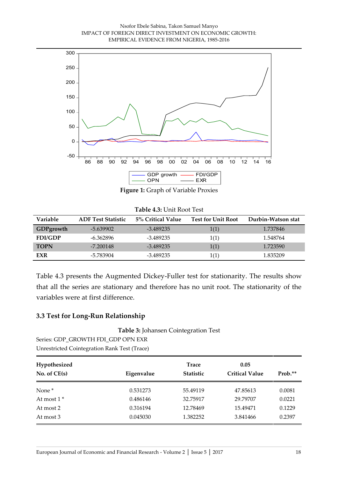#### Nsofor Ebele Sabina, Takon Samuel Manyo IMPACT OF FOREIGN DIRECT INVESTMENT ON ECONOMIC GROWTH: EMPIRICAL EVIDENCE FROM NIGERIA, 1985-2016



**Figure 1:** Graph of Variable Proxies

| Table 4.3: Unit Root Test |
|---------------------------|
|                           |

| <b>Variable</b> | <b>ADF Test Statistic</b> | 5% Critical Value | <b>Test for Unit Root</b> | Durbin-Watson stat |
|-----------------|---------------------------|-------------------|---------------------------|--------------------|
| GDPgrowth       | $-5.639902$               | $-3.489235$       | 1(1)                      | 1.737846           |
| <b>FDI/GDP</b>  | -6.362896                 | -3.489235         | 1(1)                      | 1.548764           |
| <b>TOPN</b>     | $-7.200148$               | $-3.489235$       | 1(1)                      | 1.723590           |
| EXR             | -5.783904                 | -3.489235         | 1(1)                      | 1.835209           |

Table 4.3 presents the Augmented Dickey-Fuller test for stationarity. The results show that all the series are stationary and therefore has no unit root. The stationarity of the variables were at first difference.

#### **3.3 Test for Long-Run Relationship**

**Table 3:** Johansen Cointegration Test

Series: GDP\_GROWTH FDI\_GDP OPN EXR Unrestricted Cointegration Rank Test (Trace)

| Hypothesized      |            | <b>Trace</b>     | 0.05                  |         |
|-------------------|------------|------------------|-----------------------|---------|
| No. of $CE(s)$    | Eigenvalue | <b>Statistic</b> | <b>Critical Value</b> | Prob.** |
| None <sup>*</sup> | 0.531273   | 55.49119         | 47.85613              | 0.0081  |
| At most $1^*$     | 0.486146   | 32.75917         | 29.79707              | 0.0221  |
| At most 2         | 0.316194   | 12.78469         | 15.49471              | 0.1229  |
| At most 3         | 0.045030   | 1.382252         | 3.841466              | 0.2397  |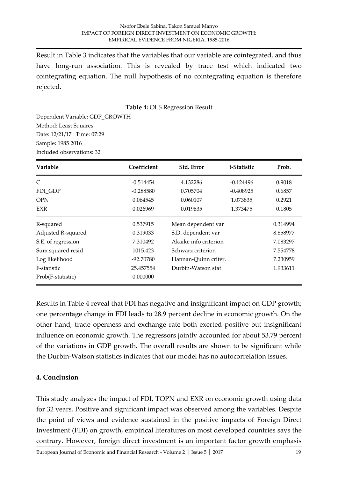Result in Table 3 indicates that the variables that our variable are cointegrated, and thus have long-run association. This is revealed by trace test which indicated two cointegrating equation. The null hypothesis of no cointegrating equation is therefore rejected.

**Table 4:** OLS Regression Result

Dependent Variable: GDP\_GROWTH Method: Least Squares Date: 12/21/17 Time: 07:29 Sample: 1985 2016 Included observations: 32

| Variable           | Coefficient | Std. Error            | t-Statistic | Prob.    |
|--------------------|-------------|-----------------------|-------------|----------|
| C                  | $-0.514454$ | 4.132286              | $-0.124496$ | 0.9018   |
| FDI_GDP            | $-0.288580$ | 0.705704              | $-0.408925$ | 0.6857   |
| <b>OPN</b>         | 0.064545    | 0.060107              | 1.073835    | 0.2921   |
| <b>EXR</b>         | 0.026969    | 0.019635              | 1.373475    | 0.1805   |
| R-squared          | 0.537915    | Mean dependent var    |             | 0.314994 |
| Adjusted R-squared | 0.319033    | S.D. dependent var    |             | 8.858977 |
| S.E. of regression | 7.310492    | Akaike info criterion |             | 7.083297 |
| Sum squared resid  | 1015.423    | Schwarz criterion     |             | 7.554778 |
| Log likelihood     | -92.70780   | Hannan-Quinn criter.  |             | 7.230959 |
| F-statistic        | 25.457554   | Durbin-Watson stat    |             | 1.933611 |
| Prob(F-statistic)  | 0.000000    |                       |             |          |

Results in Table 4 reveal that FDI has negative and insignificant impact on GDP growth; one percentage change in FDI leads to 28.9 percent decline in economic growth. On the other hand, trade openness and exchange rate both exerted positive but insignificant influence on economic growth. The regressors jointly accounted for about 53.79 percent of the variations in GDP growth. The overall results are shown to be significant while the Durbin-Watson statistics indicates that our model has no autocorrelation issues.

# **4. Conclusion**

This study analyzes the impact of FDI, TOPN and EXR on economic growth using data for 32 years. Positive and significant impact was observed among the variables. Despite the point of views and evidence sustained in the positive impacts of Foreign Direct Investment (FDI) on growth, empirical literatures on most developed countries says the contrary. However, foreign direct investment is an important factor growth emphasis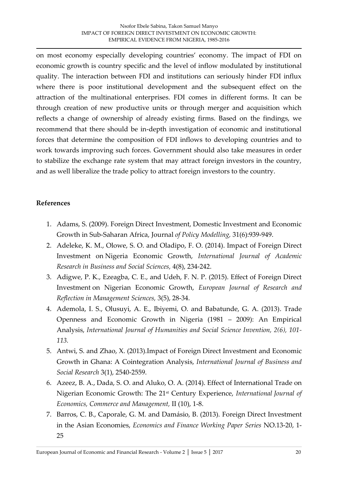on most economy especially developing countries' economy. The impact of FDI on economic growth is country specific and the level of inflow modulated by institutional quality. The interaction between FDI and institutions can seriously hinder FDI influx where there is poor institutional development and the subsequent effect on the attraction of the multinational enterprises. FDI comes in different forms. It can be through creation of new productive units or through merger and acquisition which reflects a change of ownership of already existing firms. Based on the findings, we recommend that there should be in-depth investigation of economic and institutional forces that determine the composition of FDI inflows to developing countries and to work towards improving such forces. Government should also take measures in order to stabilize the exchange rate system that may attract foreign investors in the country, and as well liberalize the trade policy to attract foreign investors to the country.

# **References**

- 1. Adams, S. (2009). Foreign Direct Investment, Domestic Investment and Economic Growth in Sub-Saharan Africa, Journal *of Policy Modelling,* 31(6):939-949.
- 2. Adeleke, K. M., Olowe, S. O. and Oladipo, F. O. (2014). Impact of Foreign Direct Investment on Nigeria Economic Growth, *International Journal of Academic Research in Business and Social Sciences,* 4(8), 234-242.
- 3. Adigwe, P. K., Ezeagba, C. E., and Udeh, F. N. P. (2015). Effect of Foreign Direct Investment on Nigerian Economic Growth, *European Journal of Research and Reflection in Management Sciences,* 3(5), 28-34.
- 4. Ademola, I. S., Olusuyi, A. E., Ibiyemi, O. and Babatunde, G. A. (2013). Trade Openness and Economic Growth in Nigeria (1981 – 2009): An Empirical Analysis, *International Journal of Humanities and Social Science Invention, 2(6), 101- 113.*
- 5. Antwi, S. and Zhao, X. (2013).Impact of Foreign Direct Investment and Economic Growth in Ghana: A Cointegration Analysis, *International Journal of Business and Social Research* 3(1), 2540-2559.
- 6. Azeez, B. A., Dada, S. O. and Aluko, O. A. (2014). Effect of International Trade on Nigerian Economic Growth: The 21st Century Experience, *International Journal of Economics, Commerce and Management,* II (10), 1-8.
- 7. Barros, C. B., Caporale, G. M. and Damásio, B. (2013). Foreign Direct Investment in the Asian Economies, *Economics and Finance Working Paper Series* NO.13-20, 1- 25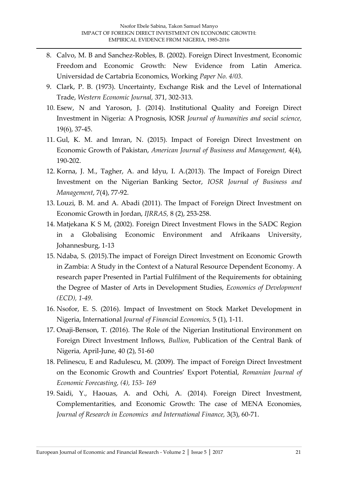- 8. Calvo, M. B and Sanchez-Robles, B. (2002). Foreign Direct Investment, Economic Freedom and Economic Growth: New Evidence from Latin America. Universidad de Cartabria Economics, Working *Paper No. 4/03.*
- 9. Clark, P. B. (1973). Uncertainty, Exchange Risk and the Level of International Trade, *Western Economic Journal,* 371, 302-313.
- 10. Esew, N and Yaroson, J. (2014). Institutional Quality and Foreign Direct Investment in Nigeria: A Prognosis, IOSR *Journal of humanities and social science,* 19(6), 37-45.
- 11. Gul, K. M. and Imran, N. (2015). Impact of Foreign Direct Investment on Economic Growth of Pakistan, *American Journal of Business and Management,* 4(4), 190-202.
- 12. Korna, J. M., Tagher, A. and Idyu, I. A.(2013). The Impact of Foreign Direct Investment on the Nigerian Banking Sector, *IOSR Journal of Business and Management*, 7(4), 77-92.
- 13. Louzi, B. M. and A. Abadi (2011). The Impact of Foreign Direct Investment on Economic Growth in Jordan, *IJRRAS,* 8 (2), 253-258.
- 14. Matjekana K S M, (2002). Foreign Direct Investment Flows in the SADC Region in a Globalising Economic Environment and Afrikaans University, Johannesburg, 1-13
- 15. Ndaba, S. (2015).The impact of Foreign Direct Investment on Economic Growth in Zambia: A Study in the Context of a Natural Resource Dependent Economy. A research paper Presented in Partial Fulfilment of the Requirements for obtaining the Degree of Master of Arts in Development Studies, *Economics of Development (ECD), 1-49.*
- 16. Nsofor, E. S. (2016). Impact of Investment on Stock Market Development in Nigeria, International *Journal of Financial Economics,* 5 (1), 1-11.
- 17. Onaji-Benson, T. (2016). The Role of the Nigerian Institutional Environment on Foreign Direct Investment Inflows, *Bullion,* Publication of the Central Bank of Nigeria*,* April-June, 40 (2), 51-60
- 18. Pelinescu, E and Radulescu, M. (2009). The impact of Foreign Direct Investment on the Economic Growth and Countries' Export Potential, *Romanian Journal of Economic Forecasting, (4), 153- 169*
- 19. Saidi, Y., Haouas, A. and Ochi, A. (2014). Foreign Direct Investment, Complementarities, and Economic Growth: The case of MENA Economies, *Journal of Research in Economics and International Finance,* 3(3), 60-71.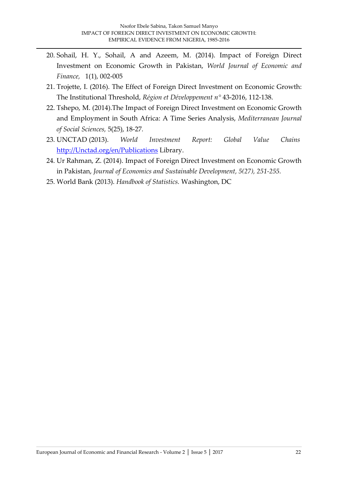- 20. Sohail, H. Y., Sohail, A and Azeem, M. (2014). Impact of Foreign Direct Investment on Economic Growth in Pakistan, *World Journal of Economic and Finance,* 1(1), 002-005
- 21. Trojette, I. (2016). The Effect of Foreign Direct Investment on Economic Growth: The Institutional Threshold, *Région et Développement n°* 43-2016, 112-138.
- 22. Tshepo, M. (2014).The Impact of Foreign Direct Investment on Economic Growth and Employment in South Africa: A Time Series Analysis, *Mediterranean Journal of Social Sciences,* 5(25), 18-27*.*
- 23. UNCTAD (2013). *World Investment Report: Global Value Chains* [http://Unctad.org/en/Publications](http://unctad.org/en/Publicati%20          ons) Library.
- 24. Ur Rahman, Z. (2014). Impact of Foreign Direct Investment on Economic Growth in Pakistan, *Journal of Economics and Sustainable Development, 5(27), 251-255.*
- 25. World Bank (2013). *Handbook of Statistics.* Washington, DC